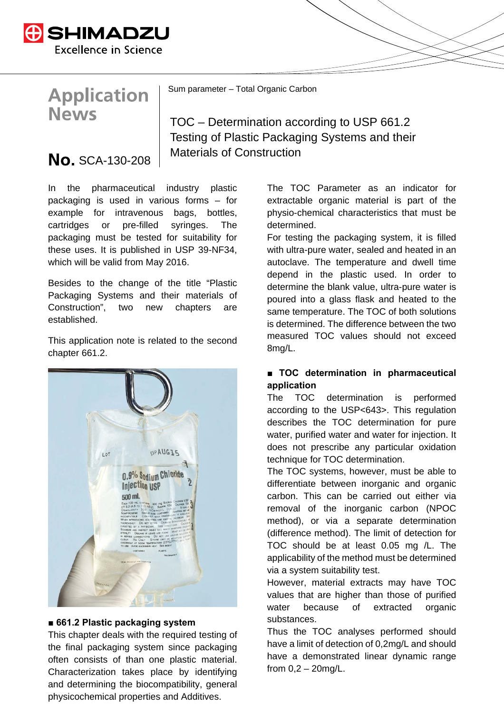

# **Application News**

Sum parameter – Total Organic Carbon

## TOC – Determination according to USP 661.2 Testing of Plastic Packaging Systems and their  $\textsf{No. SCA-130-208}$  Materials of Construction

In the pharmaceutical industry plastic packaging is used in various forms – for example for intravenous bags, bottles, cartridges or pre-filled syringes. The packaging must be tested for suitability for these uses. It is published in USP 39-NF34, which will be valid from May 2016.

Besides to the change of the title "Plastic Packaging Systems and their materials of Construction", two new chapters are established.

This application note is related to the second chapter 661.2.



#### ■ 661.2 Plastic packaging system

This chapter deals with the required testing of the final packaging system since packaging often consists of than one plastic material. Characterization takes place by identifying and determining the biocompatibility, general physicochemical properties and Additives.

The TOC Parameter as an indicator for extractable organic material is part of the physio-chemical characteristics that must be determined.

For testing the packaging system, it is filled with ultra-pure water, sealed and heated in an autoclave. The temperature and dwell time depend in the plastic used. In order to determine the blank value, ultra-pure water is poured into a glass flask and heated to the same temperature. The TOC of both solutions is determined. The difference between the two measured TOC values should not exceed 8mg/L.

### **■ TOC determination in pharmaceutical application**

The TOC determination is performed according to the USP<643>. This regulation describes the TOC determination for pure water, purified water and water for injection. It does not prescribe any particular oxidation technique for TOC determination.

The TOC systems, however, must be able to differentiate between inorganic and organic carbon. This can be carried out either via removal of the inorganic carbon (NPOC method), or via a separate determination (difference method). The limit of detection for TOC should be at least 0.05 mg /L. The applicability of the method must be determined via a system suitability test.

However, material extracts may have TOC values that are higher than those of purified water because of extracted organic substances.

Thus the TOC analyses performed should have a limit of detection of 0,2mg/L and should have a demonstrated linear dynamic range from 0,2 – 20mg/L.